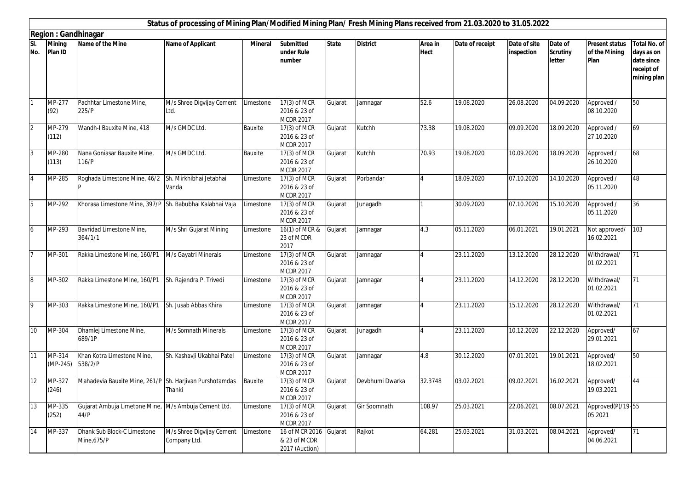|                | Status of processing of Mining Plan/Modified Mining Plan/ Fresh Mining Plans received from 21.03.2020 to 31.05.2022 |                                                              |                                                       |                |                                                    |              |                 |                        |                 |                            |                                      |                                                |                                                                       |
|----------------|---------------------------------------------------------------------------------------------------------------------|--------------------------------------------------------------|-------------------------------------------------------|----------------|----------------------------------------------------|--------------|-----------------|------------------------|-----------------|----------------------------|--------------------------------------|------------------------------------------------|-----------------------------------------------------------------------|
|                | <b>Region: Gandhinagar</b>                                                                                          |                                                              |                                                       |                |                                                    |              |                 |                        |                 |                            |                                      |                                                |                                                                       |
| SI.<br>No.     | <b>Mining</b><br>Plan ID                                                                                            | Name of the Mine                                             | Name of Applicant                                     | <b>Mineral</b> | <b>Submitted</b><br>under Rule<br>number           | <b>State</b> | <b>District</b> | Area in<br><b>Hect</b> | Date of receipt | Date of site<br>inspection | Date of<br><b>Scrutiny</b><br>letter | <b>Present status</b><br>of the Mining<br>Plan | Total No. of<br>days as on<br>date since<br>receipt of<br>mining plan |
|                | MP-277<br>(92)                                                                                                      | Pachhtar Limestone Mine,<br>225/P                            | M/s Shree Digvijay Cement<br>Ltd.                     | Limestone      | 17(3) of MCR<br>2016 & 23 of<br><b>MCDR 2017</b>   | Gujarat      | Jamnagar        | 52.6                   | 19.08.2020      | 26.08.2020                 | 04.09.2020                           | Approved /<br>08.10.2020                       | 50                                                                    |
| $\overline{2}$ | MP-279<br>(112)                                                                                                     | Wandh-I Bauxite Mine, 418                                    | M/s GMDC Ltd.                                         | Bauxite        | 17(3) of MCR<br>2016 & 23 of<br><b>MCDR 2017</b>   | Gujarat      | Kutchh          | 73.38                  | 19.08.2020      | 09.09.2020                 | 18.09.2020                           | Approved /<br>27.10.2020                       | 69                                                                    |
| $\overline{3}$ | MP-280<br>(113)                                                                                                     | Nana Goniasar Bauxite Mine,<br>116/P                         | M/s GMDC Ltd.                                         | Bauxite        | 17(3) of MCR<br>2016 & 23 of<br><b>MCDR 2017</b>   | Gujarat      | Kutchh          | 70.93                  | 19.08.2020      | 10.09.2020                 | 18.09.2020                           | Approved /<br>26.10.2020                       | 68                                                                    |
| $\overline{4}$ | MP-285                                                                                                              | Roghada Limestone Mine, 46/2 Sh. Mirkhibhai Jetabhai         | Vanda                                                 | Limestone      | 17(3) of MCR<br>2016 & 23 of<br><b>MCDR 2017</b>   | Gujarat      | Porbandar       |                        | 18.09.2020      | 07.10.2020                 | 14.10.2020                           | Approved /<br>05.11.2020                       | 48                                                                    |
| 5              | MP-292                                                                                                              | Khorasa Limestone Mine, 397/P Sh. Babubhai Kalabhai Vaja     |                                                       | Limestone      | 17(3) of MCR<br>2016 & 23 of<br><b>MCDR 2017</b>   | Gujarat      | Junagadh        |                        | 30.09.2020      | 07.10.2020                 | 15.10.2020                           | Approved /<br>05.11.2020                       | 36                                                                    |
| $\overline{6}$ | MP-293                                                                                                              | Bavridad Limestone Mine,<br>364/1/1                          | M/s Shri Gujarat Mining                               | Limestone      | 16(1) of MCR &<br>23 of MCDR<br>2017               | Gujarat      | Jamnagar        | 4.3                    | 05.11.2020      | 06.01.2021                 | 19.01.2021                           | Not approved/<br>16.02.2021                    | 103                                                                   |
|                | MP-301                                                                                                              | Rakka Limestone Mine, 160/P1                                 | M/s Gayatri Minerals                                  | Limestone      | 17(3) of MCR<br>2016 & 23 of<br><b>MCDR 2017</b>   | Gujarat      | Jamnagar        |                        | 23.11.2020      | 13.12.2020                 | 28.12.2020                           | Withdrawal/<br>01.02.2021                      | 71                                                                    |
| $\overline{8}$ | MP-302                                                                                                              | Rakka Limestone Mine, 160/P1                                 | Sh. Rajendra P. Trivedi                               | Limestone      | $17(3)$ of MCR<br>2016 & 23 of<br><b>MCDR 2017</b> | Gujarat      | Jamnagar        |                        | 23.11.2020      | 14.12.2020                 | 28.12.2020                           | Withdrawal/<br>01.02.2021                      | 71                                                                    |
| $\overline{9}$ | MP-303                                                                                                              | Rakka Limestone Mine, 160/P1                                 | Sh. Jusab Abbas Khira                                 | Limestone      | 17(3) of MCR<br>2016 & 23 of<br><b>MCDR 2017</b>   | Gujarat      | Jamnagar        |                        | 23.11.2020      | 15.12.2020                 | 28.12.2020                           | Withdrawal/<br>01.02.2021                      | 71                                                                    |
| 10             | MP-304                                                                                                              | Dhamlej Limestone Mine,<br>689/1P                            | M/s Somnath Minerals                                  | Limestone      | 17(3) of MCR<br>2016 & 23 of<br><b>MCDR 2017</b>   | Gujarat      | Junagadh        |                        | 23.11.2020      | 10.12.2020                 | 22.12.2020                           | Approved/<br>29.01.2021                        | 67                                                                    |
| 11             | MP-314<br>$(MP-245)$                                                                                                | Khan Kotra Limestone Mine,<br>538/2/P                        | Sh. Kashavji Ukabhai Patel                            | Limestone      | 17(3) of MCR<br>2016 & 23 of<br><b>MCDR 2017</b>   | Gujarat      | Jamnagar        | 4.8                    | 30.12.2020      | 07.01.2021                 | 19.01.2021                           | Approved/<br>18.02.2021                        | 50                                                                    |
| 12             | MP-327<br>(246)                                                                                                     | Mahadevia Bauxite Mine, 261/P Sh. Harjivan Purshotamdas      | Thanki                                                | Bauxite        | 17(3) of MCR<br>2016 & 23 of<br><b>MCDR 2017</b>   | Gujarat      | Devbhumi Dwarka | 32.3748                | 03.02.2021      | 09.02.2021                 | 16.02.2021                           | Approved/<br>19.03.2021                        | 44                                                                    |
| 13             | MP-335<br>(252)                                                                                                     | Gujarat Ambuja Limetone Mine, M/s Ambuja Cement Ltd.<br>44/P |                                                       | Limestone      | 17(3) of MCR<br>2016 & 23 of<br><b>MCDR 2017</b>   | Gujarat      | Gir Soomnath    | 108.97                 | 25.03.2021      | 22.06.2021                 | 08.07.2021                           | Approved(P)/19-55<br>05.2021                   |                                                                       |
| 14             | MP-337                                                                                                              | Dhank Sub Block-C Limestone<br>Mine, 675/P                   | M/s Shree Digvijay Cement   Limestone<br>Company Ltd. |                | 16 of MCR 2016<br>& 23 of MCDR<br>2017 (Auction)   | Gujarat      | Rajkot          | 64.281                 | 25.03.2021      | 31.03.2021                 | 08.04.2021                           | Approved/<br>04.06.2021                        | 71                                                                    |